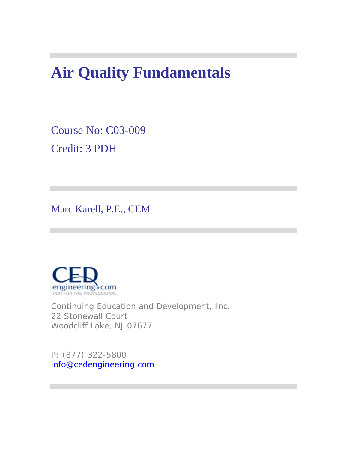# **Air Quality Fundamentals**

Course No: C03-009 Credit: 3 PDH

Marc Karell, P.E., CEM



Continuing Education and Development, Inc. 22 Stonewall Court Woodcliff Lake, NJ 07677

P: (877) 322-5800 info@cedengineering.com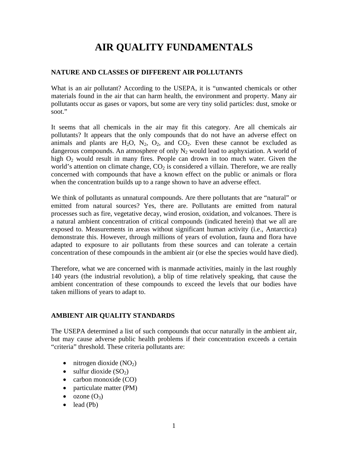# **AIR QUALITY FUNDAMENTALS**

#### **NATURE AND CLASSES OF DIFFERENT AIR POLLUTANTS**

What is an air pollutant? According to the USEPA, it is "unwanted chemicals or other materials found in the air that can harm health, the environment and property. Many air pollutants occur as gases or vapors, but some are very tiny solid particles: dust, smoke or soot."

It seems that all chemicals in the air may fit this category. Are all chemicals air pollutants? It appears that the only compounds that do not have an adverse effect on animals and plants are  $H_2O$ ,  $N_2$ ,  $O_2$ , and  $CO_2$ . Even these cannot be excluded as dangerous compounds. An atmosphere of only  $N_2$  would lead to asphyxiation. A world of high  $O_2$  would result in many fires. People can drown in too much water. Given the world's attention on climate change,  $CO<sub>2</sub>$  is considered a villain. Therefore, we are really concerned with compounds that have a known effect on the public or animals or flora when the concentration builds up to a range shown to have an adverse effect.

We think of pollutants as unnatural compounds. Are there pollutants that are "natural" or emitted from natural sources? Yes, there are. Pollutants are emitted from natural processes such as fire, vegetative decay, wind erosion, oxidation, and volcanoes. There is a natural ambient concentration of critical compounds (indicated herein) that we all are exposed to. Measurements in areas without significant human activity (i.e., Antarctica) demonstrate this. However, through millions of years of evolution, fauna and flora have adapted to exposure to air pollutants from these sources and can tolerate a certain concentration of these compounds in the ambient air (or else the species would have died).

Therefore, what we are concerned with is manmade activities, mainly in the last roughly 140 years (the industrial revolution), a blip of time relatively speaking, that cause the ambient concentration of these compounds to exceed the levels that our bodies have taken millions of years to adapt to.

#### **AMBIENT AIR QUALITY STANDARDS**

The USEPA determined a list of such compounds that occur naturally in the ambient air, but may cause adverse public health problems if their concentration exceeds a certain "criteria" threshold. These criteria pollutants are:

- nitrogen dioxide  $(NO<sub>2</sub>)$
- sulfur dioxide  $(SO_2)$
- carbon monoxide (CO)
- particulate matter (PM)
- $\alpha$ zone  $(O_3)$
- $\bullet$  lead (Pb)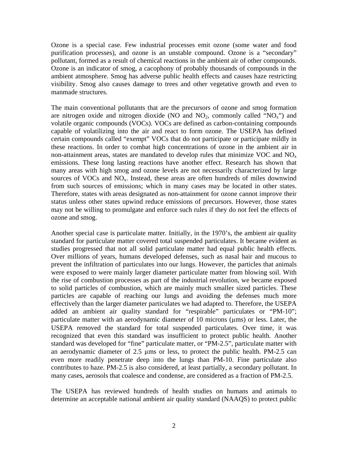Ozone is a special case. Few industrial processes emit ozone (some water and food purification processes), and ozone is an unstable compound. Ozone is a "secondary" pollutant, formed as a result of chemical reactions in the ambient air of other compounds. Ozone is an indicator of smog, a cacophony of probably thousands of compounds in the ambient atmosphere. Smog has adverse public health effects and causes haze restricting visibility. Smog also causes damage to trees and other vegetative growth and even to manmade structures.

The main conventional pollutants that are the precursors of ozone and smog formation are nitrogen oxide and nitrogen dioxide (NO and  $NO<sub>2</sub>$ , commonly called " $NO<sub>x</sub>$ ") and volatile organic compounds (VOCs). VOCs are defined as carbon-containing compounds capable of volatilizing into the air and react to form ozone. The USEPA has defined certain compounds called "exempt" VOCs that do not participate or participate mildly in these reactions. In order to combat high concentrations of ozone in the ambient air in non-attainment areas, states are mandated to develop rules that minimize VOC and  $NO<sub>x</sub>$ emissions. These long lasting reactions have another effect. Research has shown that many areas with high smog and ozone levels are not necessarily characterized by large sources of VOCs and  $NO<sub>x</sub>$ . Instead, these areas are often hundreds of miles downwind from such sources of emissions; which in many cases may be located in other states. Therefore, states with areas designated as non-attainment for ozone cannot improve their status unless other states upwind reduce emissions of precursors. However, those states may not be willing to promulgate and enforce such rules if they do not feel the effects of ozone and smog.

Another special case is particulate matter. Initially, in the 1970's, the ambient air quality standard for particulate matter covered total suspended particulates. It became evident as studies progressed that not all solid particulate matter had equal public health effects. Over millions of years, humans developed defenses, such as nasal hair and mucous to prevent the infiltration of particulates into our lungs. However, the particles that animals were exposed to were mainly larger diameter particulate matter from blowing soil. With the rise of combustion processes as part of the industrial revolution, we became exposed to solid particles of combustion, which are mainly much smaller sized particles. These particles are capable of reaching our lungs and avoiding the defenses much more effectively than the larger diameter particulates we had adapted to. Therefore, the USEPA added an ambient air quality standard for "respirable" particulates or "PM-10"; particulate matter with an aerodynamic diameter of 10 microns (ums) or less. Later, the USEPA removed the standard for total suspended particulates. Over time, it was recognized that even this standard was insufficient to protect public health. Another standard was developed for "fine" particulate matter, or "PM-2.5", particulate matter with an aerodynamic diameter of 2.5 µms or less, to protect the public health. PM-2.5 can even more readily penetrate deep into the lungs than PM-10. Fine particulate also contributes to haze. PM-2.5 is also considered, at least partially, a secondary pollutant. In many cases, aerosols that coalesce and condense, are considered as a fraction of PM-2.5.

The USEPA has reviewed hundreds of health studies on humans and animals to determine an acceptable national ambient air quality standard (NAAQS) to protect public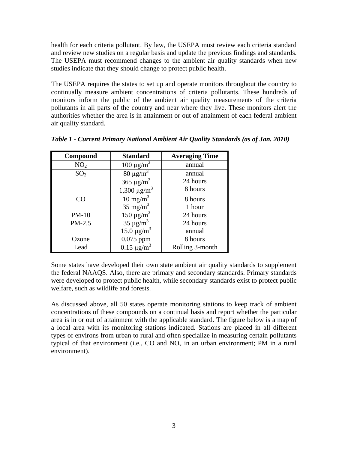health for each criteria pollutant. By law, the USEPA must review each criteria standard and review new studies on a regular basis and update the previous findings and standards. The USEPA must recommend changes to the ambient air quality standards when new studies indicate that they should change to protect public health.

The USEPA requires the states to set up and operate monitors throughout the country to continually measure ambient concentrations of criteria pollutants. These hundreds of monitors inform the public of the ambient air quality measurements of the criteria pollutants in all parts of the country and near where they live. These monitors alert the authorities whether the area is in attainment or out of attainment of each federal ambient air quality standard.

| Compound        | <b>Standard</b>             | <b>Averaging Time</b> |
|-----------------|-----------------------------|-----------------------|
| NO <sub>2</sub> | $100 \mu g/m^3$             | annual                |
| SO <sub>2</sub> | $80 \mu g/m^3$              | annual                |
|                 | 365 $\mu$ g/m <sup>3</sup>  | 24 hours              |
|                 | $1,300 \mu g/m^3$           | 8 hours               |
| CO              | $10 \text{ mg/m}^3$         | 8 hours               |
|                 | $35 \text{ mg/m}^3$         | 1 hour                |
| $PM-10$         | $150 \mu g/m^3$             | 24 hours              |
| PM-2.5          | $35 \mu g/m^3$              | 24 hours              |
|                 | $15.0 \,\mathrm{\mu g/m}^3$ | annual                |
| Ozone           | $0.075$ ppm                 | 8 hours               |
| Lead            | $0.15 \ \mu g/m^3$          | Rolling 3-month       |

*Table 1 - Current Primary National Ambient Air Quality Standards (as of Jan. 2010)*

Some states have developed their own state ambient air quality standards to supplement the federal NAAQS. Also, there are primary and secondary standards. Primary standards were developed to protect public health, while secondary standards exist to protect public welfare, such as wildlife and forests.

As discussed above, all 50 states operate monitoring stations to keep track of ambient concentrations of these compounds on a continual basis and report whether the particular area is in or out of attainment with the applicable standard. The figure below is a map of a local area with its monitoring stations indicated. Stations are placed in all different types of environs from urban to rural and often specialize in measuring certain pollutants typical of that environment (i.e., CO and  $NO<sub>x</sub>$  in an urban environment; PM in a rural environment).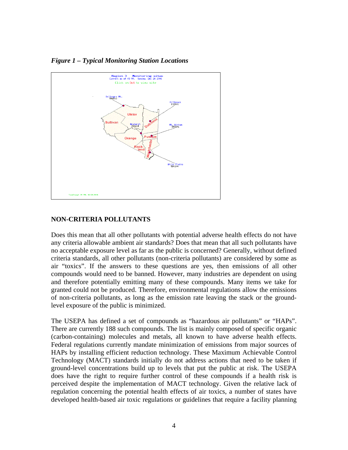*Figure 1 – Typical Monitoring Station Locations* 



#### **NON-CRITERIA POLLUTANTS**

Does this mean that all other pollutants with potential adverse health effects do not have any criteria allowable ambient air standards? Does that mean that all such pollutants have no acceptable exposure level as far as the public is concerned? Generally, without defined criteria standards, all other pollutants (non-criteria pollutants) are considered by some as air "toxics". If the answers to these questions are yes, then emissions of all other compounds would need to be banned. However, many industries are dependent on using and therefore potentially emitting many of these compounds. Many items we take for granted could not be produced. Therefore, environmental regulations allow the emissions of non-criteria pollutants, as long as the emission rate leaving the stack or the groundlevel exposure of the public is minimized.

The USEPA has defined a set of compounds as "hazardous air pollutants" or "HAPs". There are currently 188 such compounds. The list is mainly composed of specific organic (carbon-containing) molecules and metals, all known to have adverse health effects. Federal regulations currently mandate minimization of emissions from major sources of HAPs by installing efficient reduction technology. These Maximum Achievable Control Technology (MACT) standards initially do not address actions that need to be taken if ground-level concentrations build up to levels that put the public at risk. The USEPA does have the right to require further control of these compounds if a health risk is perceived despite the implementation of MACT technology. Given the relative lack of regulation concerning the potential health effects of air toxics, a number of states have developed health-based air toxic regulations or guidelines that require a facility planning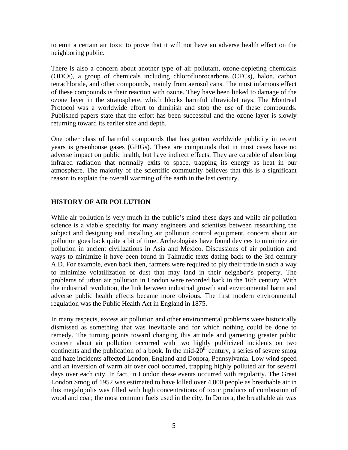to emit a certain air toxic to prove that it will not have an adverse health effect on the neighboring public.

There is also a concern about another type of air pollutant, ozone-depleting chemicals (ODCs), a group of chemicals including chlorofluorocarbons (CFCs), halon, carbon tetrachloride, and other compounds, mainly from aerosol cans. The most infamous effect of these compounds is their reaction with ozone. They have been linked to damage of the ozone layer in the stratosphere, which blocks harmful ultraviolet rays. The Montreal Protocol was a worldwide effort to diminish and stop the use of these compounds. Published papers state that the effort has been successful and the ozone layer is slowly returning toward its earlier size and depth.

One other class of harmful compounds that has gotten worldwide publicity in recent years is greenhouse gases (GHGs). These are compounds that in most cases have no adverse impact on public health, but have indirect effects. They are capable of absorbing infrared radiation that normally exits to space, trapping its energy as heat in our atmosphere. The majority of the scientific community believes that this is a significant reason to explain the overall warming of the earth in the last century.

#### **HISTORY OF AIR POLLUTION**

While air pollution is very much in the public's mind these days and while air pollution science is a viable specialty for many engineers and scientists between researching the subject and designing and installing air pollution control equipment, concern about air pollution goes back quite a bit of time. Archeologists have found devices to minimize air pollution in ancient civilizations in Asia and Mexico. Discussions of air pollution and ways to minimize it have been found in Talmudic texts dating back to the 3rd century A.D. For example, even back then, farmers were required to ply their trade in such a way to minimize volatilization of dust that may land in their neighbor's property. The problems of urban air pollution in London were recorded back in the 16th century. With the industrial revolution, the link between industrial growth and environmental harm and adverse public health effects became more obvious. The first modern environmental regulation was the Public Health Act in England in 1875.

In many respects, excess air pollution and other environmental problems were historically dismissed as something that was inevitable and for which nothing could be done to remedy. The turning points toward changing this attitude and garnering greater public concern about air pollution occurred with two highly publicized incidents on two continents and the publication of a book. In the mid- $20<sup>th</sup>$  century, a series of severe smog and haze incidents affected London, England and Donora, Pennsylvania. Low wind speed and an inversion of warm air over cool occurred, trapping highly polluted air for several days over each city. In fact, in London these events occurred with regularity. The Great London Smog of 1952 was estimated to have killed over 4,000 people as breathable air in this megalopolis was filled with high concentrations of toxic products of combustion of wood and coal; the most common fuels used in the city. In Donora, the breathable air was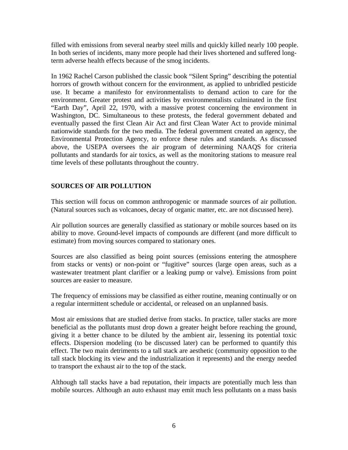filled with emissions from several nearby steel mills and quickly killed nearly 100 people. In both series of incidents, many more people had their lives shortened and suffered longterm adverse health effects because of the smog incidents.

In 1962 Rachel Carson published the classic book "Silent Spring" describing the potential horrors of growth without concern for the environment, as applied to unbridled pesticide use. It became a manifesto for environmentalists to demand action to care for the environment. Greater protest and activities by environmentalists culminated in the first "Earth Day", April 22, 1970, with a massive protest concerning the environment in Washington, DC. Simultaneous to these protests, the federal government debated and eventually passed the first Clean Air Act and first Clean Water Act to provide minimal nationwide standards for the two media. The federal government created an agency, the Environmental Protection Agency, to enforce these rules and standards. As discussed above, the USEPA oversees the air program of determining NAAQS for criteria pollutants and standards for air toxics, as well as the monitoring stations to measure real time levels of these pollutants throughout the country.

### **SOURCES OF AIR POLLUTION**

This section will focus on common anthropogenic or manmade sources of air pollution. (Natural sources such as volcanoes, decay of organic matter, etc. are not discussed here).

Air pollution sources are generally classified as stationary or mobile sources based on its ability to move. Ground-level impacts of compounds are different (and more difficult to estimate) from moving sources compared to stationary ones.

Sources are also classified as being point sources (emissions entering the atmosphere from stacks or vents) or non-point or "fugitive" sources (large open areas, such as a wastewater treatment plant clarifier or a leaking pump or valve). Emissions from point sources are easier to measure.

The frequency of emissions may be classified as either routine, meaning continually or on a regular intermittent schedule or accidental, or released on an unplanned basis.

Most air emissions that are studied derive from stacks. In practice, taller stacks are more beneficial as the pollutants must drop down a greater height before reaching the ground, giving it a better chance to be diluted by the ambient air, lessening its potential toxic effects. Dispersion modeling (to be discussed later) can be performed to quantify this effect. The two main detriments to a tall stack are aesthetic (community opposition to the tall stack blocking its view and the industrialization it represents) and the energy needed to transport the exhaust air to the top of the stack.

Although tall stacks have a bad reputation, their impacts are potentially much less than mobile sources. Although an auto exhaust may emit much less pollutants on a mass basis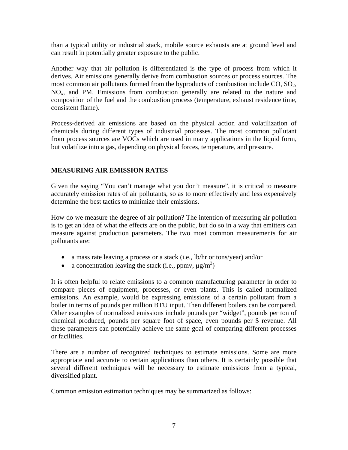than a typical utility or industrial stack, mobile source exhausts are at ground level and can result in potentially greater exposure to the public.

Another way that air pollution is differentiated is the type of process from which it derives. Air emissions generally derive from combustion sources or process sources. The most common air pollutants formed from the byproducts of combustion include CO, SO<sub>2</sub>,  $NO<sub>x</sub>$ , and PM. Emissions from combustion generally are related to the nature and composition of the fuel and the combustion process (temperature, exhaust residence time, consistent flame).

Process-derived air emissions are based on the physical action and volatilization of chemicals during different types of industrial processes. The most common pollutant from process sources are VOCs which are used in many applications in the liquid form, but volatilize into a gas, depending on physical forces, temperature, and pressure.

### **MEASURING AIR EMISSION RATES**

Given the saying "You can't manage what you don't measure", it is critical to measure accurately emission rates of air pollutants, so as to more effectively and less expensively determine the best tactics to minimize their emissions.

How do we measure the degree of air pollution? The intention of measuring air pollution is to get an idea of what the effects are on the public, but do so in a way that emitters can measure against production parameters. The two most common measurements for air pollutants are:

- a mass rate leaving a process or a stack (i.e., lb/hr or tons/year) and/or
- a concentration leaving the stack (i.e., ppmv,  $\mu g/m^3$ )

It is often helpful to relate emissions to a common manufacturing parameter in order to compare pieces of equipment, processes, or even plants. This is called normalized emissions. An example, would be expressing emissions of a certain pollutant from a boiler in terms of pounds per million BTU input. Then different boilers can be compared. Other examples of normalized emissions include pounds per "widget", pounds per ton of chemical produced, pounds per square foot of space, even pounds per \$ revenue. All these parameters can potentially achieve the same goal of comparing different processes or facilities.

There are a number of recognized techniques to estimate emissions. Some are more appropriate and accurate to certain applications than others. It is certainly possible that several different techniques will be necessary to estimate emissions from a typical, diversified plant.

Common emission estimation techniques may be summarized as follows: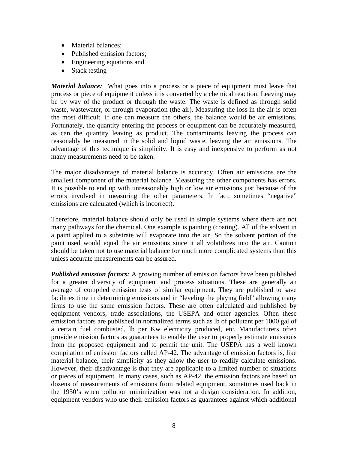- Material balances;
- Published emission factors;
- Engineering equations and
- Stack testing

*Material balance:* What goes into a process or a piece of equipment must leave that process or piece of equipment unless it is converted by a chemical reaction. Leaving may be by way of the product or through the waste. The waste is defined as through solid waste, wastewater, or through evaporation (the air). Measuring the loss in the air is often the most difficult. If one can measure the others, the balance would be air emissions. Fortunately, the quantity entering the process or equipment can be accurately measured, as can the quantity leaving as product. The contaminants leaving the process can reasonably be measured in the solid and liquid waste, leaving the air emissions. The advantage of this technique is simplicity. It is easy and inexpensive to perform as not many measurements need to be taken.

The major disadvantage of material balance is accuracy. Often air emissions are the smallest component of the material balance. Measuring the other components has errors. It is possible to end up with unreasonably high or low air emissions just because of the errors involved in measuring the other parameters. In fact, sometimes "negative" emissions are calculated (which is incorrect).

Therefore, material balance should only be used in simple systems where there are not many pathways for the chemical. One example is painting (coating). All of the solvent in a paint applied to a substrate will evaporate into the air. So the solvent portion of the paint used would equal the air emissions since it all volatilizes into the air. Caution should be taken not to use material balance for much more complicated systems than this unless accurate measurements can be assured.

*Published emission factors:* A growing number of emission factors have been published for a greater diversity of equipment and process situations. These are generally an average of compiled emission tests of similar equipment. They are published to save facilities time in determining emissions and in "leveling the playing field" allowing many firms to use the same emission factors. These are often calculated and published by equipment vendors, trade associations, the USEPA and other agencies. Often these emission factors are published in normalized terms such as lb of pollutant per 1000 gal of a certain fuel combusted, lb per Kw electricity produced, etc. Manufacturers often provide emission factors as guarantees to enable the user to properly estimate emissions from the proposed equipment and to permit the unit. The USEPA has a well known compilation of emission factors called AP-42. The advantage of emission factors is, like material balance, their simplicity as they allow the user to readily calculate emissions. However, their disadvantage is that they are applicable to a limited number of situations or pieces of equipment. In many cases, such as AP-42, the emission factors are based on dozens of measurements of emissions from related equipment, sometimes used back in the 1950's when pollution minimization was not a design consideration. In addition, equipment vendors who use their emission factors as guarantees against which additional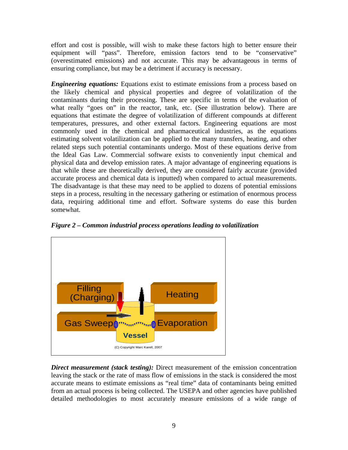effort and cost is possible, will wish to make these factors high to better ensure their equipment will "pass". Therefore, emission factors tend to be "conservative" (overestimated emissions) and not accurate. This may be advantageous in terms of ensuring compliance, but may be a detriment if accuracy is necessary.

*Engineering equations:* Equations exist to estimate emissions from a process based on the likely chemical and physical properties and degree of volatilization of the contaminants during their processing. These are specific in terms of the evaluation of what really "goes on" in the reactor, tank, etc. (See illustration below). There are equations that estimate the degree of volatilization of different compounds at different temperatures, pressures, and other external factors. Engineering equations are most commonly used in the chemical and pharmaceutical industries, as the equations estimating solvent volatilization can be applied to the many transfers, heating, and other related steps such potential contaminants undergo. Most of these equations derive from the Ideal Gas Law. Commercial software exists to conveniently input chemical and physical data and develop emission rates. A major advantage of engineering equations is that while these are theoretically derived, they are considered fairly accurate (provided accurate process and chemical data is inputted) when compared to actual measurements. The disadvantage is that these may need to be applied to dozens of potential emissions steps in a process, resulting in the necessary gathering or estimation of enormous process data, requiring additional time and effort. Software systems do ease this burden somewhat.



*Figure 2 – Common industrial process operations leading to volatilization*

*Direct measurement (stack testing):* Direct measurement of the emission concentration leaving the stack or the rate of mass flow of emissions in the stack is considered the most accurate means to estimate emissions as "real time" data of contaminants being emitted from an actual process is being collected. The USEPA and other agencies have published detailed methodologies to most accurately measure emissions of a wide range of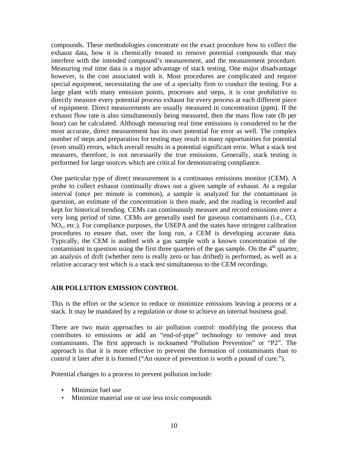compounds. These methodologies concentrate on the exact procedure how to collect the exhaust data, how it is chemically treated to remove potential compounds that may interfere with the intended compound's measurement, and the measurement procedure. Measuring real time data is a major advantage of stack testing. One major disadvantage however, is the cost associated with it. Most procedures are complicated and require special equipment, necessitating the use of a specialty firm to conduct the testing. For a large plant with many emission points, processes and steps, it is cost prohibitive to directly measure every potential process exhaust for every process at each different piece of equipment. Direct measurements are usually measured in concentration (ppm). If the exhaust flow rate is also simultaneously being measured, then the mass flow rate (lb per hour) can be calculated. Although measuring real time emissions is considered to be the most accurate, direct measurement has its own potential for error as well. The complex number of steps and preparation for testing may result in many opportunities for potential (even small) errors, which overall results in a potential significant error. What a stack test measures, therefore, is not necessarily the true emissions. Generally, stack testing is performed for large sources which are critical for demonstrating compliance.

One particular type of direct measurement is a continuous emissions monitor (CEM). A probe to collect exhaust continually draws out a given sample of exhaust. At a regular interval (once per minute is common), a sample is analyzed for the contaminant in question, an estimate of the concentration is then made, and the reading is recorded and kept for historical trending. CEMs can continuously measure and record emissions over a very long period of time. CEMs are generally used for gaseous contaminants (i.e., CO,  $NO<sub>x</sub>$ , etc.). For compliance purposes, the USEPA and the states have stringent calibration procedures to ensure that, over the long run, a CEM is developing accurate data. Typically, the CEM is audited with a gas sample with a known concentration of the contaminant in question using the first three quarters of the gas sample. On the  $4<sup>th</sup>$  quarter, an analysis of drift (whether zero is really zero or has drifted) is performed, as well as a relative accuracy test which is a stack test simultaneous to the CEM recordings.

#### **AIR POLLUTION EMISSION CONTROL**

This is the effort or the science to reduce or minimize emissions leaving a process or a stack. It may be mandated by a regulation or done to achieve an internal business goal.

There are two main approaches to air pollution control: modifying the process that contributes to emissions or add an "end-of-pipe" technology to remove and treat contaminants. The first approach is nicknamed "Pollution Prevention" or "P2". The approach is that it is more effective to prevent the formation of contaminants than to control it later after it is formed ("An ounce of prevention is worth a pound of cure.").

Potential changes to a process to prevent pollution include:

- Minimize fuel use
- Minimize material use or use less toxic compounds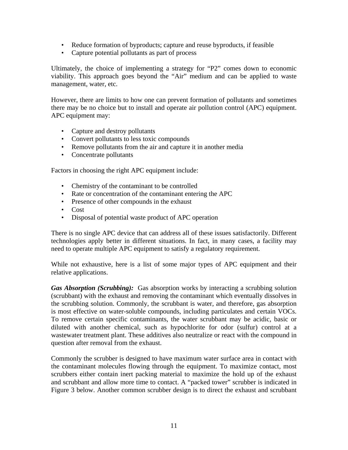- Reduce formation of byproducts; capture and reuse byproducts, if feasible
- Capture potential pollutants as part of process

Ultimately, the choice of implementing a strategy for "P2" comes down to economic viability. This approach goes beyond the "Air" medium and can be applied to waste management, water, etc.

However, there are limits to how one can prevent formation of pollutants and sometimes there may be no choice but to install and operate air pollution control (APC) equipment. APC equipment may:

- Capture and destroy pollutants
- Convert pollutants to less toxic compounds
- Remove pollutants from the air and capture it in another media
- Concentrate pollutants

Factors in choosing the right APC equipment include:

- Chemistry of the contaminant to be controlled
- Rate or concentration of the contaminant entering the APC
- Presence of other compounds in the exhaust
- Cost
- Disposal of potential waste product of APC operation

There is no single APC device that can address all of these issues satisfactorily. Different technologies apply better in different situations. In fact, in many cases, a facility may need to operate multiple APC equipment to satisfy a regulatory requirement.

While not exhaustive, here is a list of some major types of APC equipment and their relative applications.

*Gas Absorption (Scrubbing):* Gas absorption works by interacting a scrubbing solution (scrubbant) with the exhaust and removing the contaminant which eventually dissolves in the scrubbing solution. Commonly, the scrubbant is water, and therefore, gas absorption is most effective on water-soluble compounds, including particulates and certain VOCs. To remove certain specific contaminants, the water scrubbant may be acidic, basic or diluted with another chemical, such as hypochlorite for odor (sulfur) control at a wastewater treatment plant. These additives also neutralize or react with the compound in question after removal from the exhaust.

Commonly the scrubber is designed to have maximum water surface area in contact with the contaminant molecules flowing through the equipment. To maximize contact, most scrubbers either contain inert packing material to maximize the hold up of the exhaust and scrubbant and allow more time to contact. A "packed tower" scrubber is indicated in Figure 3 below. Another common scrubber design is to direct the exhaust and scrubbant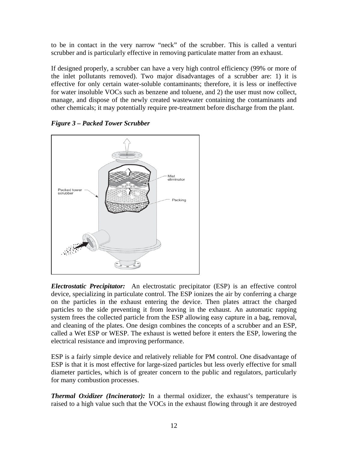to be in contact in the very narrow "neck" of the scrubber. This is called a venturi scrubber and is particularly effective in removing particulate matter from an exhaust.

If designed properly, a scrubber can have a very high control efficiency (99% or more of the inlet pollutants removed). Two major disadvantages of a scrubber are: 1) it is effective for only certain water-soluble contaminants; therefore, it is less or ineffective for water insoluble VOCs such as benzene and toluene, and 2) the user must now collect, manage, and dispose of the newly created wastewater containing the contaminants and other chemicals; it may potentially require pre-treatment before discharge from the plant.



*Figure 3 – Packed Tower Scrubber*

*Electrostatic Precipitator:* An electrostatic precipitator (ESP) is an effective control device, specializing in particulate control. The ESP ionizes the air by conferring a charge on the particles in the exhaust entering the device. Then plates attract the charged particles to the side preventing it from leaving in the exhaust. An automatic rapping system frees the collected particle from the ESP allowing easy capture in a bag, removal, and cleaning of the plates. One design combines the concepts of a scrubber and an ESP, called a Wet ESP or WESP. The exhaust is wetted before it enters the ESP, lowering the electrical resistance and improving performance.

ESP is a fairly simple device and relatively reliable for PM control. One disadvantage of ESP is that it is most effective for large-sized particles but less overly effective for small diameter particles, which is of greater concern to the public and regulators, particularly for many combustion processes.

*Thermal Oxidizer (Incinerator):* In a thermal oxidizer, the exhaust's temperature is raised to a high value such that the VOCs in the exhaust flowing through it are destroyed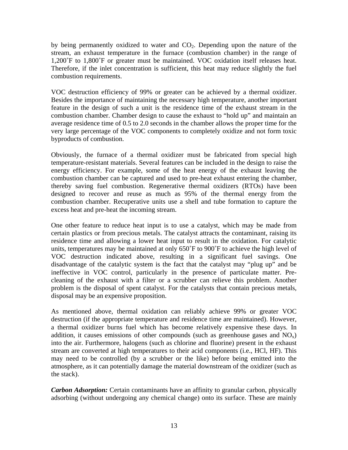by being permanently oxidized to water and  $CO<sub>2</sub>$ . Depending upon the nature of the stream, an exhaust temperature in the furnace (combustion chamber) in the range of 1,200˚F to 1,800˚F or greater must be maintained. VOC oxidation itself releases heat. Therefore, if the inlet concentration is sufficient, this heat may reduce slightly the fuel combustion requirements.

VOC destruction efficiency of 99% or greater can be achieved by a thermal oxidizer. Besides the importance of maintaining the necessary high temperature, another important feature in the design of such a unit is the residence time of the exhaust stream in the combustion chamber. Chamber design to cause the exhaust to "hold up" and maintain an average residence time of 0.5 to 2.0 seconds in the chamber allows the proper time for the very large percentage of the VOC components to completely oxidize and not form toxic byproducts of combustion.

Obviously, the furnace of a thermal oxidizer must be fabricated from special high temperature-resistant materials. Several features can be included in the design to raise the energy efficiency. For example, some of the heat energy of the exhaust leaving the combustion chamber can be captured and used to pre-heat exhaust entering the chamber, thereby saving fuel combustion. Regenerative thermal oxidizers (RTOs) have been designed to recover and reuse as much as 95% of the thermal energy from the combustion chamber. Recuperative units use a shell and tube formation to capture the excess heat and pre-heat the incoming stream.

One other feature to reduce heat input is to use a catalyst, which may be made from certain plastics or from precious metals. The catalyst attracts the contaminant, raising its residence time and allowing a lower heat input to result in the oxidation. For catalytic units, temperatures may be maintained at only 650˚F to 900˚F to achieve the high level of VOC destruction indicated above, resulting in a significant fuel savings. One disadvantage of the catalytic system is the fact that the catalyst may "plug up" and be ineffective in VOC control, particularly in the presence of particulate matter. Precleaning of the exhaust with a filter or a scrubber can relieve this problem. Another problem is the disposal of spent catalyst. For the catalysts that contain precious metals, disposal may be an expensive proposition.

As mentioned above, thermal oxidation can reliably achieve 99% or greater VOC destruction (if the appropriate temperature and residence time are maintained). However, a thermal oxidizer burns fuel which has become relatively expensive these days. In addition, it causes emissions of other compounds (such as greenhouse gases and  $NO_x$ ) into the air. Furthermore, halogens (such as chlorine and fluorine) present in the exhaust stream are converted at high temperatures to their acid components (i.e., HCl, HF). This may need to be controlled (by a scrubber or the like) before being emitted into the atmosphere, as it can potentially damage the material downstream of the oxidizer (such as the stack).

*Carbon Adsorption:* Certain contaminants have an affinity to granular carbon, physically adsorbing (without undergoing any chemical change) onto its surface. These are mainly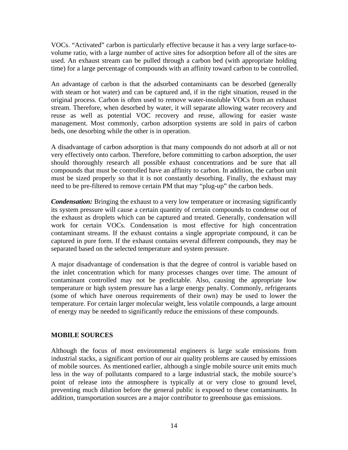VOCs. "Activated" carbon is particularly effective because it has a very large surface-tovolume ratio, with a large number of active sites for adsorption before all of the sites are used. An exhaust stream can be pulled through a carbon bed (with appropriate holding time) for a large percentage of compounds with an affinity toward carbon to be controlled.

An advantage of carbon is that the adsorbed contaminants can be desorbed (generally with steam or hot water) and can be captured and, if in the right situation, reused in the original process. Carbon is often used to remove water-insoluble VOCs from an exhaust stream. Therefore, when desorbed by water, it will separate allowing water recovery and reuse as well as potential VOC recovery and reuse, allowing for easier waste management. Most commonly, carbon adsorption systems are sold in pairs of carbon beds, one desorbing while the other is in operation.

A disadvantage of carbon adsorption is that many compounds do not adsorb at all or not very effectively onto carbon. Therefore, before committing to carbon adsorption, the user should thoroughly research all possible exhaust concentrations and be sure that all compounds that must be controlled have an affinity to carbon. In addition, the carbon unit must be sized properly so that it is not constantly desorbing. Finally, the exhaust may need to be pre-filtered to remove certain PM that may "plug-up" the carbon beds.

*Condensation:* Bringing the exhaust to a very low temperature or increasing significantly its system pressure will cause a certain quantity of certain compounds to condense out of the exhaust as droplets which can be captured and treated. Generally, condensation will work for certain VOCs. Condensation is most effective for high concentration contaminant streams. If the exhaust contains a single appropriate compound, it can be captured in pure form. If the exhaust contains several different compounds, they may be separated based on the selected temperature and system pressure.

A major disadvantage of condensation is that the degree of control is variable based on the inlet concentration which for many processes changes over time. The amount of contaminant controlled may not be predictable. Also, causing the appropriate low temperature or high system pressure has a large energy penalty. Commonly, refrigerants (some of which have onerous requirements of their own) may be used to lower the temperature. For certain larger molecular weight, less volatile compounds, a large amount of energy may be needed to significantly reduce the emissions of these compounds.

#### **MOBILE SOURCES**

Although the focus of most environmental engineers is large scale emissions from industrial stacks, a significant portion of our air quality problems are caused by emissions of mobile sources. As mentioned earlier, although a single mobile source unit emits much less in the way of pollutants compared to a large industrial stack, the mobile source's point of release into the atmosphere is typically at or very close to ground level, preventing much dilution before the general public is exposed to these contaminants. In addition, transportation sources are a major contributor to greenhouse gas emissions.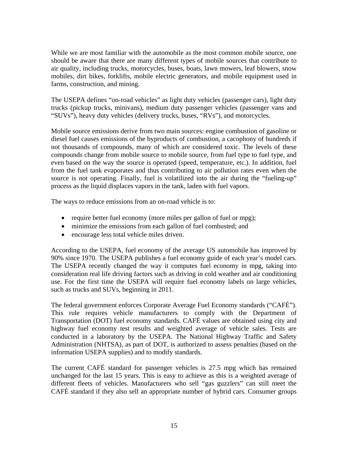While we are most familiar with the automobile as the most common mobile source, one should be aware that there are many different types of mobile sources that contribute to air quality, including trucks, motorcycles, buses, boats, lawn mowers, leaf blowers, snow mobiles, dirt bikes, forklifts, mobile electric generators, and mobile equipment used in farms, construction, and mining.

The USEPA defines "on-road vehicles" as light duty vehicles (passenger cars), light duty trucks (pickup trucks, minivans), medium duty passenger vehicles (passenger vans and "SUVs"), heavy duty vehicles (delivery trucks, buses, "RVs"), and motorcycles.

Mobile source emissions derive from two main sources: engine combustion of gasoline or diesel fuel causes emissions of the byproducts of combustion, a cacophony of hundreds if not thousands of compounds, many of which are considered toxic. The levels of these compounds change from mobile source to mobile source, from fuel type to fuel type, and even based on the way the source is operated (speed, temperature, etc.). In addition, fuel from the fuel tank evaporates and thus contributing to air pollution rates even when the source is not operating. Finally, fuel is volatilized into the air during the "fueling-up" process as the liquid displaces vapors in the tank, laden with fuel vapors.

The ways to reduce emissions from an on-road vehicle is to:

- require better fuel economy (more miles per gallon of fuel or mpg);
- minimize the emissions from each gallon of fuel combusted; and
- encourage less total vehicle miles driven.

According to the USEPA, fuel economy of the average US automobile has improved by 90% since 1970. The USEPA publishes a fuel economy guide of each year's model cars. The USEPA recently changed the way it computes fuel economy in mpg, taking into consideration real life driving factors such as driving in cold weather and air conditioning use. For the first time the USEPA will require fuel economy labels on large vehicles, such as trucks and SUVs, beginning in 2011.

The federal government enforces Corporate Average Fuel Economy standards ("CAFÉ"). This rule requires vehicle manufacturers to comply with the Department of Transportation (DOT) fuel economy standards. CAFÉ values are obtained using city and highway fuel economy test results and weighted average of vehicle sales. Tests are conducted in a laboratory by the USEPA. The National Highway Traffic and Safety Administration (NHTSA), as part of DOT, is authorized to assess penalties (based on the information USEPA supplies) and to modify standards.

The current CAFÉ standard for passenger vehicles is 27.5 mpg which has remained unchanged for the last 15 years. This is easy to achieve as this is a weighted average of different fleets of vehicles. Manufacturers who sell "gas guzzlers" can still meet the CAFÉ standard if they also sell an appropriate number of hybrid cars. Consumer groups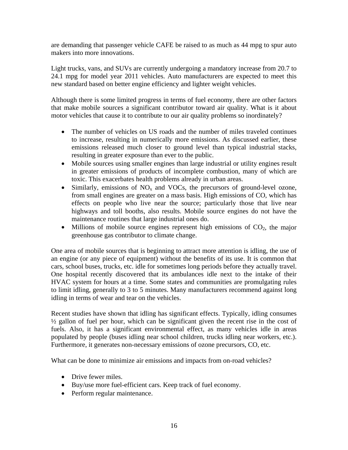are demanding that passenger vehicle CAFE be raised to as much as 44 mpg to spur auto makers into more innovations.

Light trucks, vans, and SUVs are currently undergoing a mandatory increase from 20.7 to 24.1 mpg for model year 2011 vehicles. Auto manufacturers are expected to meet this new standard based on better engine efficiency and lighter weight vehicles.

Although there is some limited progress in terms of fuel economy, there are other factors that make mobile sources a significant contributor toward air quality. What is it about motor vehicles that cause it to contribute to our air quality problems so inordinately?

- The number of vehicles on US roads and the number of miles traveled continues to increase, resulting in numerically more emissions. As discussed earlier, these emissions released much closer to ground level than typical industrial stacks, resulting in greater exposure than ever to the public.
- Mobile sources using smaller engines than large industrial or utility engines result in greater emissions of products of incomplete combustion, many of which are toxic. This exacerbates health problems already in urban areas.
- Similarly, emissions of  $NO<sub>x</sub>$  and VOCs, the precursors of ground-level ozone, from small engines are greater on a mass basis. High emissions of CO, which has effects on people who live near the source; particularly those that live near highways and toll booths, also results. Mobile source engines do not have the maintenance routines that large industrial ones do.
- Millions of mobile source engines represent high emissions of  $CO<sub>2</sub>$ , the major greenhouse gas contributor to climate change.

One area of mobile sources that is beginning to attract more attention is idling, the use of an engine (or any piece of equipment) without the benefits of its use. It is common that cars, school buses, trucks, etc. idle for sometimes long periods before they actually travel. One hospital recently discovered that its ambulances idle next to the intake of their HVAC system for hours at a time. Some states and communities are promulgating rules to limit idling, generally to 3 to 5 minutes. Many manufacturers recommend against long idling in terms of wear and tear on the vehicles.

Recent studies have shown that idling has significant effects. Typically, idling consumes  $\frac{1}{2}$  gallon of fuel per hour, which can be significant given the recent rise in the cost of fuels. Also, it has a significant environmental effect, as many vehicles idle in areas populated by people (buses idling near school children, trucks idling near workers, etc.). Furthermore, it generates non-necessary emissions of ozone precursors, CO, etc.

What can be done to minimize air emissions and impacts from on-road vehicles?

- Drive fewer miles
- Buy/use more fuel-efficient cars. Keep track of fuel economy.
- Perform regular maintenance.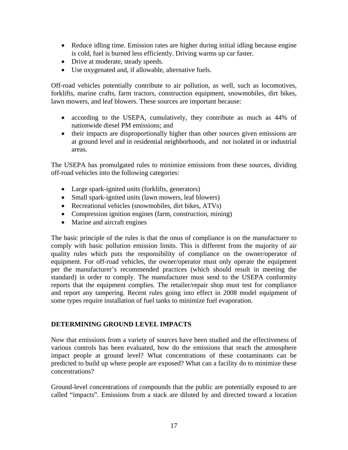- Reduce idling time. Emission rates are higher during initial idling because engine is cold, fuel is burned less efficiently. Driving warms up car faster.
- Drive at moderate, steady speeds.
- Use oxygenated and, if allowable, alternative fuels.

Off-road vehicles potentially contribute to air pollution, as well, such as locomotives, forklifts, marine crafts, farm tractors, construction equipment, snowmobiles, dirt bikes, lawn mowers, and leaf blowers. These sources are important because:

- according to the USEPA, cumulatively, they contribute as much as 44% of nationwide diesel PM emissions; and
- their impacts are disproportionally higher than other sources given emissions are at ground level and in residential neighborhoods, and not isolated in or industrial areas.

The USEPA has promulgated rules to minimize emissions from these sources, dividing off-road vehicles into the following categories:

- Large spark-ignited units (forklifts, generators)
- Small spark-ignited units (lawn mowers, leaf blowers)
- Recreational vehicles (snowmobiles, dirt bikes, ATVs)
- Compression ignition engines (farm, construction, mining)
- Marine and aircraft engines

The basic principle of the rules is that the onus of compliance is on the manufacturer to comply with basic pollution emission limits. This is different from the majority of air quality rules which puts the responsibility of compliance on the owner/operator of equipment. For off-road vehicles, the owner/operator must only operate the equipment per the manufacturer's recommended practices (which should result in meeting the standard) in order to comply. The manufacturer must send to the USEPA conformity reports that the equipment complies. The retailer/repair shop must test for compliance and report any tampering. Recent rules going into effect in 2008 model equipment of some types require installation of fuel tanks to minimize fuel evaporation.

#### **DETERMINING GROUND LEVEL IMPACTS**

Now that emissions from a variety of sources have been studied and the effectiveness of various controls has been evaluated, how do the emissions that reach the atmosphere impact people at ground level? What concentrations of these contaminants can be predicted to build up where people are exposed? What can a facility do to minimize these concentrations?

Ground-level concentrations of compounds that the public are potentially exposed to are called "impacts". Emissions from a stack are diluted by and directed toward a location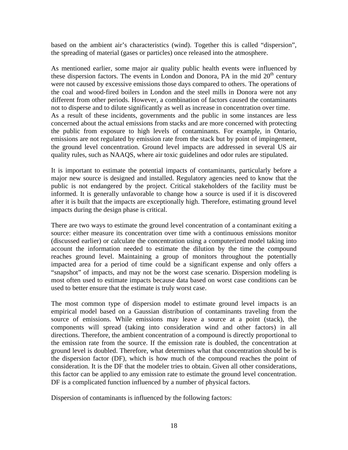based on the ambient air's characteristics (wind). Together this is called "dispersion", the spreading of material (gases or particles) once released into the atmosphere.

As mentioned earlier, some major air quality public health events were influenced by these dispersion factors. The events in London and Donora, PA in the mid  $20<sup>th</sup>$  century were not caused by excessive emissions those days compared to others. The operations of the coal and wood-fired boilers in London and the steel mills in Donora were not any different from other periods. However, a combination of factors caused the contaminants not to disperse and to dilute significantly as well as increase in concentration over time. As a result of these incidents, governments and the public in some instances are less concerned about the actual emissions from stacks and are more concerned with protecting the public from exposure to high levels of contaminants. For example, in Ontario, emissions are not regulated by emission rate from the stack but by point of impingement, the ground level concentration. Ground level impacts are addressed in several US air quality rules, such as NAAQS, where air toxic guidelines and odor rules are stipulated.

It is important to estimate the potential impacts of contaminants, particularly before a major new source is designed and installed. Regulatory agencies need to know that the public is not endangered by the project. Critical stakeholders of the facility must be informed. It is generally unfavorable to change how a source is used if it is discovered after it is built that the impacts are exceptionally high. Therefore, estimating ground level impacts during the design phase is critical.

There are two ways to estimate the ground level concentration of a contaminant exiting a source: either measure its concentration over time with a continuous emissions monitor (discussed earlier) or calculate the concentration using a computerized model taking into account the information needed to estimate the dilution by the time the compound reaches ground level. Maintaining a group of monitors throughout the potentially impacted area for a period of time could be a significant expense and only offers a "snapshot" of impacts, and may not be the worst case scenario. Dispersion modeling is most often used to estimate impacts because data based on worst case conditions can be used to better ensure that the estimate is truly worst case.

The most common type of dispersion model to estimate ground level impacts is an empirical model based on a Gaussian distribution of contaminants traveling from the source of emissions. While emissions may leave a source at a point (stack), the components will spread (taking into consideration wind and other factors) in all directions. Therefore, the ambient concentration of a compound is directly proportional to the emission rate from the source. If the emission rate is doubled, the concentration at ground level is doubled. Therefore, what determines what that concentration should be is the dispersion factor (DF), which is how much of the compound reaches the point of consideration. It is the DF that the modeler tries to obtain. Given all other considerations, this factor can be applied to any emission rate to estimate the ground level concentration. DF is a complicated function influenced by a number of physical factors.

Dispersion of contaminants is influenced by the following factors: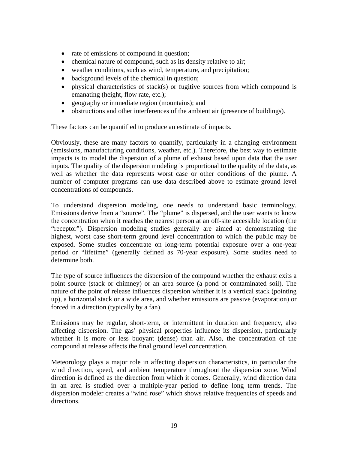- rate of emissions of compound in question;
- chemical nature of compound, such as its density relative to air;
- weather conditions, such as wind, temperature, and precipitation;
- background levels of the chemical in question;
- physical characteristics of stack(s) or fugitive sources from which compound is emanating (height, flow rate, etc.);
- geography or immediate region (mountains); and
- obstructions and other interferences of the ambient air (presence of buildings).

These factors can be quantified to produce an estimate of impacts.

Obviously, these are many factors to quantify, particularly in a changing environment (emissions, manufacturing conditions, weather, etc.). Therefore, the best way to estimate impacts is to model the dispersion of a plume of exhaust based upon data that the user inputs. The quality of the dispersion modeling is proportional to the quality of the data, as well as whether the data represents worst case or other conditions of the plume. A number of computer programs can use data described above to estimate ground level concentrations of compounds.

To understand dispersion modeling, one needs to understand basic terminology. Emissions derive from a "source". The "plume" is dispersed, and the user wants to know the concentration when it reaches the nearest person at an off-site accessible location (the "receptor"). Dispersion modeling studies generally are aimed at demonstrating the highest, worst case short-term ground level concentration to which the public may be exposed. Some studies concentrate on long-term potential exposure over a one-year period or "lifetime" (generally defined as 70-year exposure). Some studies need to determine both.

The type of source influences the dispersion of the compound whether the exhaust exits a point source (stack or chimney) or an area source (a pond or contaminated soil). The nature of the point of release influences dispersion whether it is a vertical stack (pointing up), a horizontal stack or a wide area, and whether emissions are passive (evaporation) or forced in a direction (typically by a fan).

Emissions may be regular, short-term, or intermittent in duration and frequency, also affecting dispersion. The gas' physical properties influence its dispersion, particularly whether it is more or less buoyant (dense) than air. Also, the concentration of the compound at release affects the final ground level concentration.

Meteorology plays a major role in affecting dispersion characteristics, in particular the wind direction, speed, and ambient temperature throughout the dispersion zone. Wind direction is defined as the direction from which it comes. Generally, wind direction data in an area is studied over a multiple-year period to define long term trends. The dispersion modeler creates a "wind rose" which shows relative frequencies of speeds and directions.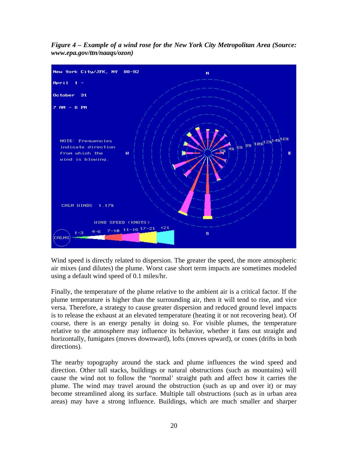

*Figure 4 – Example of a wind rose for the New York City Metropolitan Area (Source: www.epa.gov/ttn/naaqs/ozon)* 

Wind speed is directly related to dispersion. The greater the speed, the more atmospheric air mixes (and dilutes) the plume. Worst case short term impacts are sometimes modeled using a default wind speed of 0.1 miles/hr.

Finally, the temperature of the plume relative to the ambient air is a critical factor. If the plume temperature is higher than the surrounding air, then it will tend to rise, and vice versa. Therefore, a strategy to cause greater dispersion and reduced ground level impacts is to release the exhaust at an elevated temperature (heating it or not recovering heat). Of course, there is an energy penalty in doing so. For visible plumes, the temperature relative to the atmosphere may influence its behavior, whether it fans out straight and horizontally, fumigates (moves downward), lofts (moves upward), or cones (drifts in both directions).

The nearby topography around the stack and plume influences the wind speed and direction. Other tall stacks, buildings or natural obstructions (such as mountains) will cause the wind not to follow the "normal' straight path and affect how it carries the plume. The wind may travel around the obstruction (such as up and over it) or may become streamlined along its surface. Multiple tall obstructions (such as in urban area areas) may have a strong influence. Buildings, which are much smaller and sharper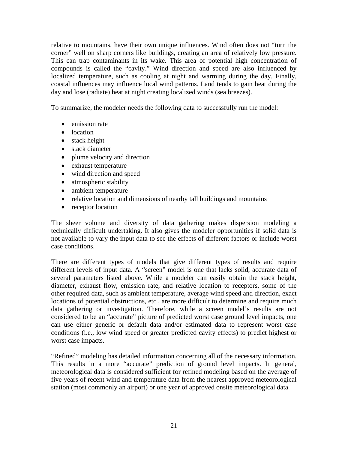relative to mountains, have their own unique influences. Wind often does not "turn the corner" well on sharp corners like buildings, creating an area of relatively low pressure. This can trap contaminants in its wake. This area of potential high concentration of compounds is called the "cavity." Wind direction and speed are also influenced by localized temperature, such as cooling at night and warming during the day. Finally, coastal influences may influence local wind patterns. Land tends to gain heat during the day and lose (radiate) heat at night creating localized winds (sea breezes).

To summarize, the modeler needs the following data to successfully run the model:

- emission rate
- location
- stack height
- stack diameter
- plume velocity and direction
- exhaust temperature
- wind direction and speed
- atmospheric stability
- ambient temperature
- relative location and dimensions of nearby tall buildings and mountains
- receptor location

The sheer volume and diversity of data gathering makes dispersion modeling a technically difficult undertaking. It also gives the modeler opportunities if solid data is not available to vary the input data to see the effects of different factors or include worst case conditions.

There are different types of models that give different types of results and require different levels of input data. A "screen" model is one that lacks solid, accurate data of several parameters listed above. While a modeler can easily obtain the stack height, diameter, exhaust flow, emission rate, and relative location to receptors, some of the other required data, such as ambient temperature, average wind speed and direction, exact locations of potential obstructions, etc., are more difficult to determine and require much data gathering or investigation. Therefore, while a screen model's results are not considered to be an "accurate" picture of predicted worst case ground level impacts, one can use either generic or default data and/or estimated data to represent worst case conditions (i.e., low wind speed or greater predicted cavity effects) to predict highest or worst case impacts.

"Refined" modeling has detailed information concerning all of the necessary information. This results in a more "accurate" prediction of ground level impacts. In general, meteorological data is considered sufficient for refined modeling based on the average of five years of recent wind and temperature data from the nearest approved meteorological station (most commonly an airport) or one year of approved onsite meteorological data.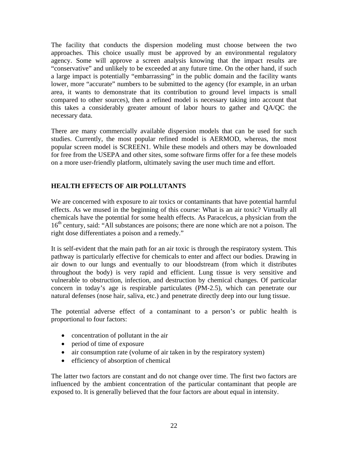The facility that conducts the dispersion modeling must choose between the two approaches. This choice usually must be approved by an environmental regulatory agency. Some will approve a screen analysis knowing that the impact results are "conservative" and unlikely to be exceeded at any future time. On the other hand, if such a large impact is potentially "embarrassing" in the public domain and the facility wants lower, more "accurate" numbers to be submitted to the agency (for example, in an urban area, it wants to demonstrate that its contribution to ground level impacts is small compared to other sources), then a refined model is necessary taking into account that this takes a considerably greater amount of labor hours to gather and QA/QC the necessary data.

There are many commercially available dispersion models that can be used for such studies. Currently, the most popular refined model is AERMOD, whereas, the most popular screen model is SCREEN1. While these models and others may be downloaded for free from the USEPA and other sites, some software firms offer for a fee these models on a more user-friendly platform, ultimately saving the user much time and effort.

## **HEALTH EFFECTS OF AIR POLLUTANTS**

We are concerned with exposure to air toxics or contaminants that have potential harmful effects. As we mused in the beginning of this course: What is an air toxic? Virtually all chemicals have the potential for some health effects. As Paracelcus, a physician from the 16<sup>th</sup> century, said: "All substances are poisons; there are none which are not a poison. The right dose differentiates a poison and a remedy."

It is self-evident that the main path for an air toxic is through the respiratory system. This pathway is particularly effective for chemicals to enter and affect our bodies. Drawing in air down to our lungs and eventually to our bloodstream (from which it distributes throughout the body) is very rapid and efficient. Lung tissue is very sensitive and vulnerable to obstruction, infection, and destruction by chemical changes. Of particular concern in today's age is respirable particulates (PM-2.5), which can penetrate our natural defenses (nose hair, saliva, etc.) and penetrate directly deep into our lung tissue.

The potential adverse effect of a contaminant to a person's or public health is proportional to four factors:

- concentration of pollutant in the air
- period of time of exposure
- air consumption rate (volume of air taken in by the respiratory system)
- efficiency of absorption of chemical

The latter two factors are constant and do not change over time. The first two factors are influenced by the ambient concentration of the particular contaminant that people are exposed to. It is generally believed that the four factors are about equal in intensity.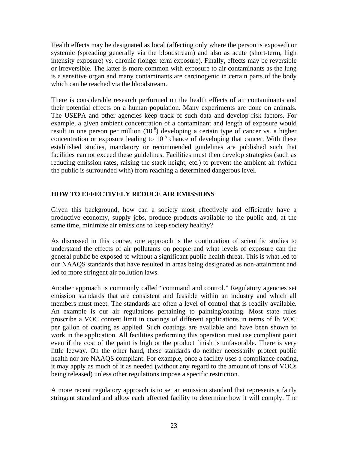Health effects may be designated as local (affecting only where the person is exposed) or systemic (spreading generally via the bloodstream) and also as acute (short-term, high intensity exposure) vs. chronic (longer term exposure). Finally, effects may be reversible or irreversible. The latter is more common with exposure to air contaminants as the lung is a sensitive organ and many contaminants are carcinogenic in certain parts of the body which can be reached via the bloodstream.

There is considerable research performed on the health effects of air contaminants and their potential effects on a human population. Many experiments are done on animals. The USEPA and other agencies keep track of such data and develop risk factors. For example, a given ambient concentration of a contaminant and length of exposure would result in one person per million  $(10^{-6})$  developing a certain type of cancer vs. a higher concentration or exposure leading to  $10^{-5}$  chance of developing that cancer. With these established studies, mandatory or recommended guidelines are published such that facilities cannot exceed these guidelines. Facilities must then develop strategies (such as reducing emission rates, raising the stack height, etc.) to prevent the ambient air (which the public is surrounded with) from reaching a determined dangerous level.

### **HOW TO EFFECTIVELY REDUCE AIR EMISSIONS**

Given this background, how can a society most effectively and efficiently have a productive economy, supply jobs, produce products available to the public and, at the same time, minimize air emissions to keep society healthy?

As discussed in this course, one approach is the continuation of scientific studies to understand the effects of air pollutants on people and what levels of exposure can the general public be exposed to without a significant public health threat. This is what led to our NAAQS standards that have resulted in areas being designated as non-attainment and led to more stringent air pollution laws.

Another approach is commonly called "command and control." Regulatory agencies set emission standards that are consistent and feasible within an industry and which all members must meet. The standards are often a level of control that is readily available. An example is our air regulations pertaining to painting/coating. Most state rules proscribe a VOC content limit in coatings of different applications in terms of lb VOC per gallon of coating as applied. Such coatings are available and have been shown to work in the application. All facilities performing this operation must use compliant paint even if the cost of the paint is high or the product finish is unfavorable. There is very little leeway. On the other hand, these standards do neither necessarily protect public health nor are NAAQS compliant. For example, once a facility uses a compliance coating, it may apply as much of it as needed (without any regard to the amount of tons of VOCs being released) unless other regulations impose a specific restriction.

A more recent regulatory approach is to set an emission standard that represents a fairly stringent standard and allow each affected facility to determine how it will comply. The